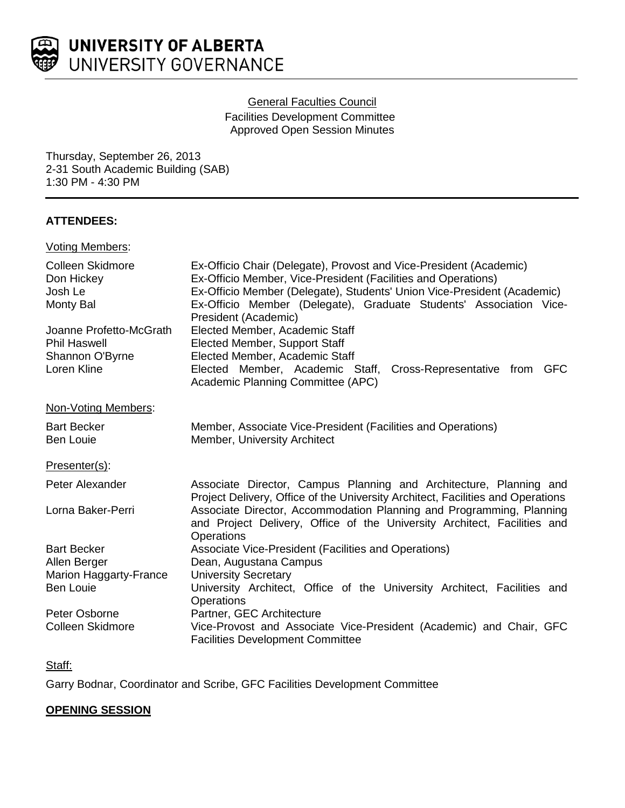

### General Faculties Council

Facilities Development Committee Approved Open Session Minutes

Thursday, September 26, 2013 2-31 South Academic Building (SAB) 1:30 PM - 4:30 PM

# **ATTENDEES:**

### Voting Members:

| <b>Colleen Skidmore</b><br>Don Hickey<br>Josh Le<br>Monty Bal<br>Joanne Profetto-McGrath<br><b>Phil Haswell</b><br>Shannon O'Byrne<br>Loren Kline | Ex-Officio Chair (Delegate), Provost and Vice-President (Academic)<br>Ex-Officio Member, Vice-President (Facilities and Operations)<br>Ex-Officio Member (Delegate), Students' Union Vice-President (Academic)<br>Ex-Officio Member (Delegate), Graduate Students' Association Vice-<br>President (Academic)<br>Elected Member, Academic Staff<br><b>Elected Member, Support Staff</b><br>Elected Member, Academic Staff<br>Elected Member, Academic Staff, Cross-Representative from GFC<br>Academic Planning Committee (APC) |
|---------------------------------------------------------------------------------------------------------------------------------------------------|--------------------------------------------------------------------------------------------------------------------------------------------------------------------------------------------------------------------------------------------------------------------------------------------------------------------------------------------------------------------------------------------------------------------------------------------------------------------------------------------------------------------------------|
| Non-Voting Members:                                                                                                                               |                                                                                                                                                                                                                                                                                                                                                                                                                                                                                                                                |
| <b>Bart Becker</b><br><b>Ben Louie</b>                                                                                                            | Member, Associate Vice-President (Facilities and Operations)<br>Member, University Architect                                                                                                                                                                                                                                                                                                                                                                                                                                   |
| Presenter(s):                                                                                                                                     |                                                                                                                                                                                                                                                                                                                                                                                                                                                                                                                                |
| Peter Alexander                                                                                                                                   | Associate Director, Campus Planning and Architecture, Planning and<br>Project Delivery, Office of the University Architect, Facilities and Operations                                                                                                                                                                                                                                                                                                                                                                          |
| Lorna Baker-Perri                                                                                                                                 | Associate Director, Accommodation Planning and Programming, Planning<br>and Project Delivery, Office of the University Architect, Facilities and<br><b>Operations</b>                                                                                                                                                                                                                                                                                                                                                          |
| <b>Bart Becker</b>                                                                                                                                | Associate Vice-President (Facilities and Operations)                                                                                                                                                                                                                                                                                                                                                                                                                                                                           |
| Allen Berger<br>Marion Haggarty-France                                                                                                            | Dean, Augustana Campus<br><b>University Secretary</b>                                                                                                                                                                                                                                                                                                                                                                                                                                                                          |
| <b>Ben Louie</b>                                                                                                                                  | University Architect, Office of the University Architect, Facilities and<br>Operations                                                                                                                                                                                                                                                                                                                                                                                                                                         |
| Peter Osborne                                                                                                                                     | Partner, GEC Architecture                                                                                                                                                                                                                                                                                                                                                                                                                                                                                                      |
| Colleen Skidmore                                                                                                                                  | Vice-Provost and Associate Vice-President (Academic) and Chair, GFC<br><b>Facilities Development Committee</b>                                                                                                                                                                                                                                                                                                                                                                                                                 |

# Staff:

Garry Bodnar, Coordinator and Scribe, GFC Facilities Development Committee

# **OPENING SESSION**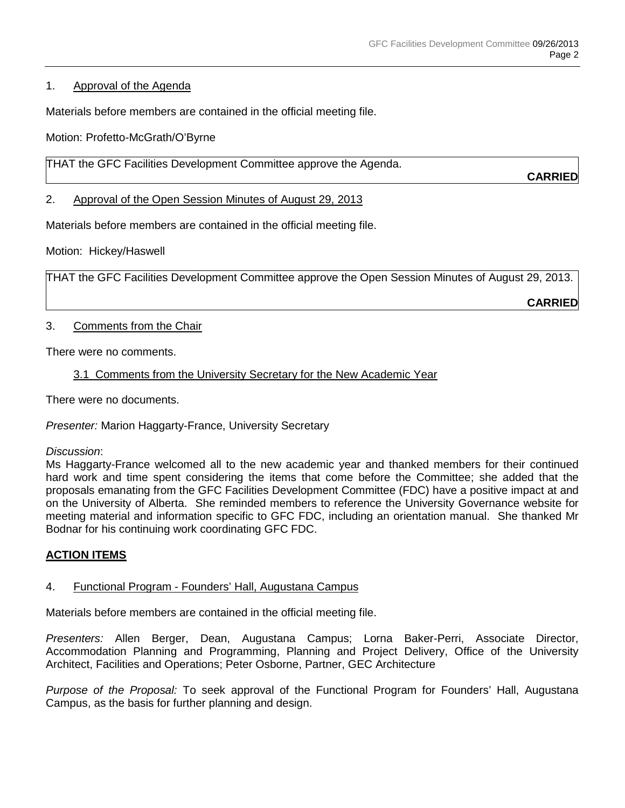### 1. Approval of the Agenda

Materials before members are contained in the official meeting file.

Motion: Profetto-McGrath/O'Byrne

THAT the GFC Facilities Development Committee approve the Agenda.

**CARRIED**

2. Approval of the Open Session Minutes of August 29, 2013

Materials before members are contained in the official meeting file.

Motion: Hickey/Haswell

THAT the GFC Facilities Development Committee approve the Open Session Minutes of August 29, 2013.

**CARRIED**

### 3. Comments from the Chair

There were no comments.

# 3.1 Comments from the University Secretary for the New Academic Year

There were no documents.

*Presenter:* Marion Haggarty-France, University Secretary

#### *Discussion*:

Ms Haggarty-France welcomed all to the new academic year and thanked members for their continued hard work and time spent considering the items that come before the Committee; she added that the proposals emanating from the GFC Facilities Development Committee (FDC) have a positive impact at and on the University of Alberta. She reminded members to reference the University Governance website for meeting material and information specific to GFC FDC, including an orientation manual. She thanked Mr Bodnar for his continuing work coordinating GFC FDC.

# **ACTION ITEMS**

#### 4. Functional Program - Founders' Hall, Augustana Campus

Materials before members are contained in the official meeting file.

*Presenters:* Allen Berger, Dean, Augustana Campus; Lorna Baker-Perri, Associate Director, Accommodation Planning and Programming, Planning and Project Delivery, Office of the University Architect, Facilities and Operations; Peter Osborne, Partner, GEC Architecture

*Purpose of the Proposal:* To seek approval of the Functional Program for Founders' Hall, Augustana Campus, as the basis for further planning and design.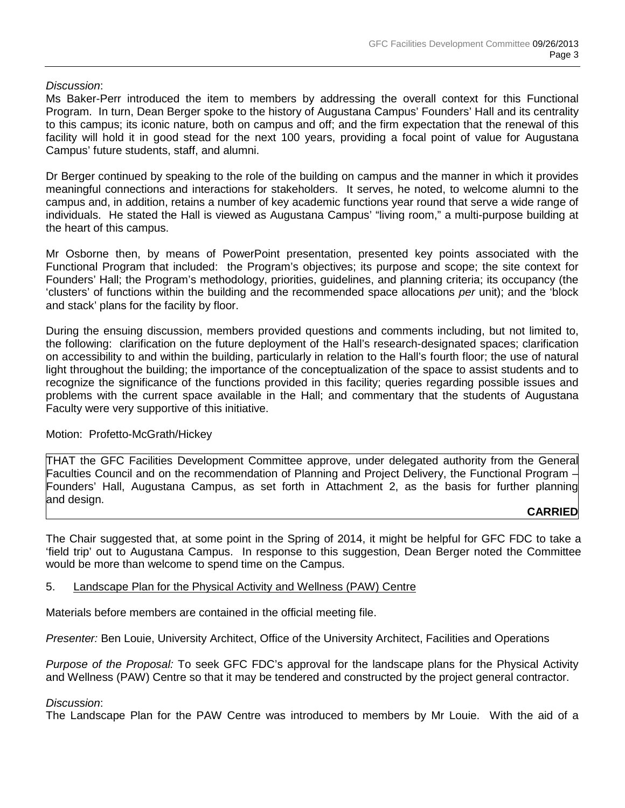### *Discussion*:

Ms Baker-Perr introduced the item to members by addressing the overall context for this Functional Program. In turn, Dean Berger spoke to the history of Augustana Campus' Founders' Hall and its centrality to this campus; its iconic nature, both on campus and off; and the firm expectation that the renewal of this facility will hold it in good stead for the next 100 years, providing a focal point of value for Augustana Campus' future students, staff, and alumni.

Dr Berger continued by speaking to the role of the building on campus and the manner in which it provides meaningful connections and interactions for stakeholders. It serves, he noted, to welcome alumni to the campus and, in addition, retains a number of key academic functions year round that serve a wide range of individuals. He stated the Hall is viewed as Augustana Campus' "living room," a multi-purpose building at the heart of this campus.

Mr Osborne then, by means of PowerPoint presentation, presented key points associated with the Functional Program that included: the Program's objectives; its purpose and scope; the site context for Founders' Hall; the Program's methodology, priorities, guidelines, and planning criteria; its occupancy (the 'clusters' of functions within the building and the recommended space allocations *per* unit); and the 'block and stack' plans for the facility by floor.

During the ensuing discussion, members provided questions and comments including, but not limited to, the following: clarification on the future deployment of the Hall's research-designated spaces; clarification on accessibility to and within the building, particularly in relation to the Hall's fourth floor; the use of natural light throughout the building; the importance of the conceptualization of the space to assist students and to recognize the significance of the functions provided in this facility; queries regarding possible issues and problems with the current space available in the Hall; and commentary that the students of Augustana Faculty were very supportive of this initiative.

#### Motion: Profetto-McGrath/Hickey

THAT the GFC Facilities Development Committee approve, under delegated authority from the General Faculties Council and on the recommendation of Planning and Project Delivery, the Functional Program – Founders' Hall, Augustana Campus, as set forth in Attachment 2, as the basis for further planning and design.

#### **CARRIED**

The Chair suggested that, at some point in the Spring of 2014, it might be helpful for GFC FDC to take a 'field trip' out to Augustana Campus. In response to this suggestion, Dean Berger noted the Committee would be more than welcome to spend time on the Campus.

#### 5. Landscape Plan for the Physical Activity and Wellness (PAW) Centre

Materials before members are contained in the official meeting file.

*Presenter:* Ben Louie, University Architect, Office of the University Architect, Facilities and Operations

*Purpose of the Proposal:* To seek GFC FDC's approval for the landscape plans for the Physical Activity and Wellness (PAW) Centre so that it may be tendered and constructed by the project general contractor.

#### *Discussion*:

The Landscape Plan for the PAW Centre was introduced to members by Mr Louie. With the aid of a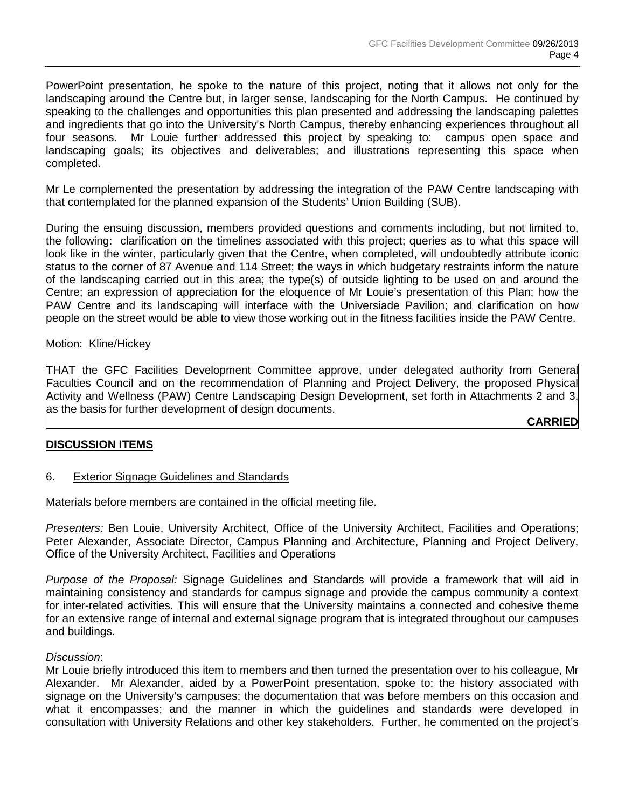PowerPoint presentation, he spoke to the nature of this project, noting that it allows not only for the landscaping around the Centre but, in larger sense, landscaping for the North Campus. He continued by speaking to the challenges and opportunities this plan presented and addressing the landscaping palettes and ingredients that go into the University's North Campus, thereby enhancing experiences throughout all four seasons. Mr Louie further addressed this project by speaking to: campus open space and landscaping goals; its objectives and deliverables; and illustrations representing this space when completed.

Mr Le complemented the presentation by addressing the integration of the PAW Centre landscaping with that contemplated for the planned expansion of the Students' Union Building (SUB).

During the ensuing discussion, members provided questions and comments including, but not limited to, the following: clarification on the timelines associated with this project; queries as to what this space will look like in the winter, particularly given that the Centre, when completed, will undoubtedly attribute iconic status to the corner of 87 Avenue and 114 Street; the ways in which budgetary restraints inform the nature of the landscaping carried out in this area; the type(s) of outside lighting to be used on and around the Centre; an expression of appreciation for the eloquence of Mr Louie's presentation of this Plan; how the PAW Centre and its landscaping will interface with the Universiade Pavilion; and clarification on how people on the street would be able to view those working out in the fitness facilities inside the PAW Centre.

#### Motion: Kline/Hickey

THAT the GFC Facilities Development Committee approve, under delegated authority from General Faculties Council and on the recommendation of Planning and Project Delivery, the proposed Physical Activity and Wellness (PAW) Centre Landscaping Design Development, set forth in Attachments 2 and 3, as the basis for further development of design documents.

**CARRIED**

#### **DISCUSSION ITEMS**

#### 6. Exterior Signage Guidelines and Standards

Materials before members are contained in the official meeting file.

*Presenters:* Ben Louie, University Architect, Office of the University Architect, Facilities and Operations; Peter Alexander, Associate Director, Campus Planning and Architecture, Planning and Project Delivery, Office of the University Architect, Facilities and Operations

*Purpose of the Proposal:* Signage Guidelines and Standards will provide a framework that will aid in maintaining consistency and standards for campus signage and provide the campus community a context for inter-related activities. This will ensure that the University maintains a connected and cohesive theme for an extensive range of internal and external signage program that is integrated throughout our campuses and buildings.

#### *Discussion*:

Mr Louie briefly introduced this item to members and then turned the presentation over to his colleague, Mr Alexander. Mr Alexander, aided by a PowerPoint presentation, spoke to: the history associated with signage on the University's campuses; the documentation that was before members on this occasion and what it encompasses; and the manner in which the guidelines and standards were developed in consultation with University Relations and other key stakeholders. Further, he commented on the project's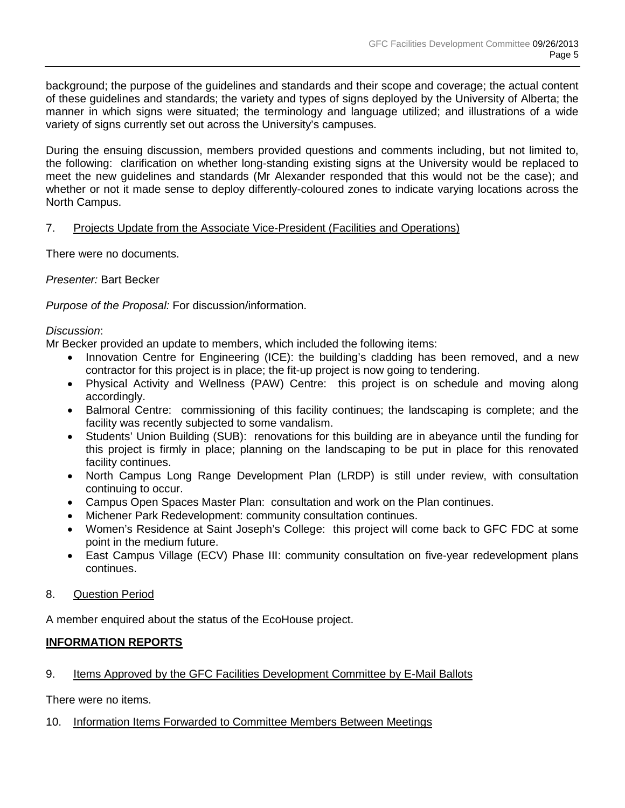background; the purpose of the guidelines and standards and their scope and coverage; the actual content of these guidelines and standards; the variety and types of signs deployed by the University of Alberta; the manner in which signs were situated; the terminology and language utilized; and illustrations of a wide variety of signs currently set out across the University's campuses.

During the ensuing discussion, members provided questions and comments including, but not limited to, the following: clarification on whether long-standing existing signs at the University would be replaced to meet the new guidelines and standards (Mr Alexander responded that this would not be the case); and whether or not it made sense to deploy differently-coloured zones to indicate varying locations across the North Campus.

# 7. Projects Update from the Associate Vice-President (Facilities and Operations)

There were no documents.

*Presenter:* Bart Becker

*Purpose of the Proposal:* For discussion/information.

#### *Discussion*:

Mr Becker provided an update to members, which included the following items:

- Innovation Centre for Engineering (ICE): the building's cladding has been removed, and a new contractor for this project is in place; the fit-up project is now going to tendering.
- Physical Activity and Wellness (PAW) Centre: this project is on schedule and moving along accordingly.
- Balmoral Centre: commissioning of this facility continues; the landscaping is complete; and the facility was recently subjected to some vandalism.
- Students' Union Building (SUB): renovations for this building are in abeyance until the funding for this project is firmly in place; planning on the landscaping to be put in place for this renovated facility continues.
- North Campus Long Range Development Plan (LRDP) is still under review, with consultation continuing to occur.
- Campus Open Spaces Master Plan: consultation and work on the Plan continues.
- Michener Park Redevelopment: community consultation continues.
- Women's Residence at Saint Joseph's College: this project will come back to GFC FDC at some point in the medium future.
- East Campus Village (ECV) Phase III: community consultation on five-year redevelopment plans continues.

# 8. Question Period

A member enquired about the status of the EcoHouse project.

# **INFORMATION REPORTS**

# 9. Items Approved by the GFC Facilities Development Committee by E-Mail Ballots

There were no items.

# 10. Information Items Forwarded to Committee Members Between Meetings